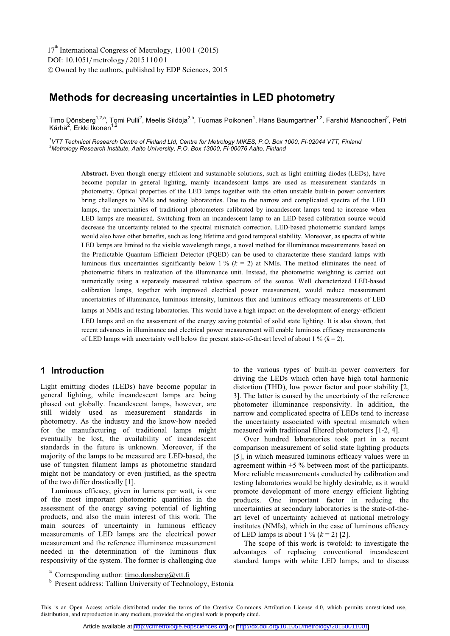# **Methods for decreasing uncertainties in LED photometry**

Timo Dönsberg<sup>1,2,a</sup>, Tomi Pulli<sup>2</sup>, Meelis Sildoja<sup>2,b</sup>, Tuomas Poikonen<sup>1</sup>, Hans Baumgartner<sup>1,2</sup>, Farshid Manoocheri<sup>2</sup>, Petri Kärhä<sup>2</sup>, Erkki Ikonen<sup>1,2</sup>

<sup>1</sup>VTT Technical Research Centre of Finland Ltd, Centre for Metrology MIKES, P.O. Box 1000, FI-02044 VTT, Finland<br><sup>2</sup>Metrology Research Institute, Aelte University, R.O. Box 12000, EL00076 Aelte, Einland *Metrology Research Institute, Aalto University, P.O. Box 13000, FI-00076 Aalto, Finland* 

**Abstract.** Even though energy-efficient and sustainable solutions, such as light emitting diodes (LEDs), have become popular in general lighting, mainly incandescent lamps are used as measurement standards in photometry. Optical properties of the LED lamps together with the often unstable built-in power converters bring challenges to NMIs and testing laboratories. Due to the narrow and complicated spectra of the LED lamps, the uncertainties of traditional photometers calibrated by incandescent lamps tend to increase when LED lamps are measured. Switching from an incandescent lamp to an LED-based calibration source would decrease the uncertainty related to the spectral mismatch correction. LED-based photometric standard lamps would also have other benefits, such as long lifetime and good temporal stability. Moreover, as spectra of white LED lamps are limited to the visible wavelength range, a novel method for illuminance measurements based on the Predictable Quantum Efficient Detector (PQED) can be used to characterize these standard lamps with luminous flux uncertainties significantly below 1 % (*k* = 2) at NMIs. The method eliminates the need of photometric filters in realization of the illuminance unit. Instead, the photometric weighting is carried out numerically using a separately measured relative spectrum of the source. Well characterized LED-based calibration lamps, together with improved electrical power measurement, would reduce measurement uncertainties of illuminance, luminous intensity, luminous flux and luminous efficacy measurements of LED lamps at NMIs and testing laboratories. This would have a high impact on the development of energy**-**efficient LED lamps and on the assessment of the energy saving potential of solid state lighting. It is also shown, that recent advances in illuminance and electrical power measurement will enable luminous efficacy measurements of LED lamps with uncertainty well below the present state-of-the-art level of about  $1\%$  ( $k = 2$ ).

## **1 Introduction**

Light emitting diodes (LEDs) have become popular in general lighting, while incandescent lamps are being phased out globally. Incandescent lamps, however, are still widely used as measurement standards in photometry. As the industry and the know-how needed for the manufacturing of traditional lamps might eventually be lost, the availability of incandescent standards in the future is unknown. Moreover, if the majority of the lamps to be measured are LED-based, the use of tungsten filament lamps as photometric standard might not be mandatory or even justified, as the spectra of the two differ drastically [1].

Luminous efficacy, given in lumens per watt, is one of the most important photometric quantities in the assessment of the energy saving potential of lighting products, and also the main interest of this work. The main sources of uncertainty in luminous efficacy measurements of LED lamps are the electrical power measurement and the reference illuminance measurement needed in the determination of the luminous flux responsivity of the system. The former is challenging due to the various types of built-in power converters for driving the LEDs which often have high total harmonic distortion (THD), low power factor and poor stability [2, 3]. The latter is caused by the uncertainty of the reference photometer illuminance responsivity. In addition, the narrow and complicated spectra of LEDs tend to increase the uncertainty associated with spectral mismatch when measured with traditional filtered photometers [1-2, 4].

Over hundred laboratories took part in a recent comparison measurement of solid state lighting products [5], in which measured luminous efficacy values were in agreement within  $\pm$ 5 % between most of the participants. More reliable measurements conducted by calibration and testing laboratories would be highly desirable, as it would promote development of more energy efficient lighting products. One important factor in reducing the uncertainties at secondary laboratories is the state-of-theart level of uncertainty achieved at national metrology institutes (NMIs), which in the case of luminous efficacy of LED lamps is about  $1\%$   $(k = 2)$  [2].

The scope of this work is twofold: to investigate the advantages of replacing conventional incandescent standard lamps with white LED lamps, and to discuss

This is an Open Access article distributed under the terms of the Creative Commons Attribution License 4.0, which permits unrestricted use, distribution, and reproduction in any medium, provided the original work is properly cited.

<sup>&</sup>lt;sup>a</sup> Corresponding author:  $\underline{\text{timo.donsberg}(\text{Qytt},\text{fi}}$ 

**b** Present address: Tallinn University of Technology, Estonia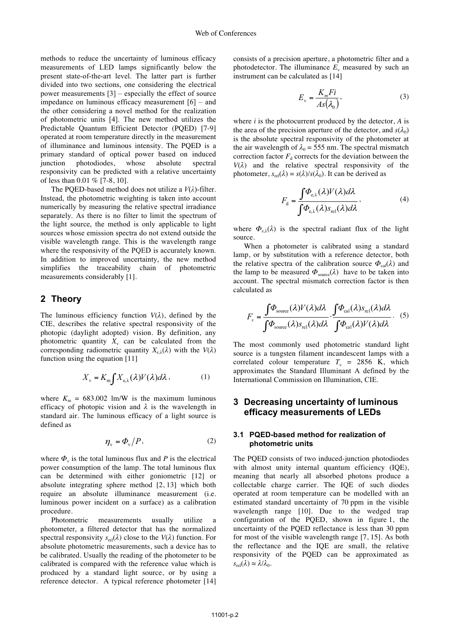methods to reduce the uncertainty of luminous efficacy measurements of LED lamps significantly below the present state-of-the-art level. The latter part is further divided into two sections, one considering the electrical power measurements [3] – especially the effect of source impedance on luminous efficacy measurement [6] – and the other considering a novel method for the realization of photometric units [4]. The new method utilizes the Predictable Quantum Efficient Detector (PQED) [7-9] operated at room temperature directly in the measurement of illuminance and luminous intensity. The PQED is a primary standard of optical power based on induced junction photodiodes, whose absolute spectral responsivity can be predicted with a relative uncertainty of less than 0.01 % [7-8, 10].

The PQED-based method does not utilize a *V*(*λ*)-filter. Instead, the photometric weighting is taken into account numerically by measuring the relative spectral irradiance separately. As there is no filter to limit the spectrum of the light source, the method is only applicable to light sources whose emission spectra do not extend outside the visible wavelength range. This is the wavelength range where the responsivity of the PQED is accurately known. In addition to improved uncertainty, the new method simplifies the traceability chain of photometric measurements considerably [1].

### **2 Theory**

The luminous efficiency function  $V(\lambda)$ , defined by the CIE, describes the relative spectral responsivity of the photopic (daylight adopted) vision. By definition, any photometric quantity  $X<sub>v</sub>$  can be calculated from the corresponding radiometric quantity  $X_{e,\lambda}(\lambda)$  with the  $V(\lambda)$ function using the equation [11]

$$
X_{\rm v} = K_{\rm m} \int X_{\rm e,\lambda}(\lambda) V(\lambda) d\lambda \,, \tag{1}
$$

where  $K_m = 683.002$  lm/W is the maximum luminous efficacy of photopic vision and  $\lambda$  is the wavelength in standard air. The luminous efficacy of a light source is defined as

$$
\eta_{\rm v} = \Phi_{\rm v}/P,\tag{2}
$$

where  $\Phi_{\nu}$  is the total luminous flux and *P* is the electrical power consumption of the lamp. The total luminous flux can be determined with either goniometric [12] or absolute integrating sphere method [2, 13] which both require an absolute illuminance measurement (i.e. luminous power incident on a surface) as a calibration procedure.

Photometric measurements usually utilize a photometer, a filtered detector that has the normalized spectral responsivity  $s_{rel}(\lambda)$  close to the  $V(\lambda)$  function. For absolute photometric measurements, such a device has to be calibrated. Usually the reading of the photometer to be calibrated is compared with the reference value which is produced by a standard light source, or by using a reference detector. A typical reference photometer [14] consists of a precision aperture, a photometric filter and a photodetector. The illuminance  $E<sub>v</sub>$  measured by such an instrument can be calculated as [14]

$$
E_{\rm v} = \frac{K_m F i}{As(\lambda_0)},\tag{3}
$$

where *i* is the photocurrent produced by the detector, *A* is the area of the precision aperture of the detector, and  $s(\lambda_0)$ is the absolute spectral responsivity of the photometer at the air wavelength of  $\lambda_0 = 555$  nm. The spectral mismatch correction factor  $F_d$  corrects for the deviation between the  $V(\lambda)$  and the relative spectral responsivity of the photometer,  $s_{rel}(\lambda) = s(\lambda)/s(\lambda_0)$ . It can be derived as

$$
F_{\rm d} = \frac{\int \Phi_{\rm e,\lambda}(\lambda)V(\lambda)d\lambda}{\int \Phi_{\rm e,\lambda}(\lambda)s_{\rm rel}(\lambda)d\lambda},\tag{4}
$$

where  $\Phi_{e\lambda}(\lambda)$  is the spectral radiant flux of the light source.

When a photometer is calibrated using a standard lamp, or by substitution with a reference detector, both the relative spectra of the calibration source  $\Phi_{\text{cal}}(\lambda)$  and the lamp to be measured  $\Phi_{source}(\lambda)$  have to be taken into account. The spectral mismatch correction factor is then calculated as

$$
F_s = \frac{\int \Phi_{\text{source}}(\lambda) V(\lambda) d\lambda}{\int \Phi_{\text{source}}(\lambda) s_{\text{rel}}(\lambda) d\lambda} \cdot \frac{\int \Phi_{\text{cal}}(\lambda) s_{\text{rel}}(\lambda) d\lambda}{\int \Phi_{\text{cal}}(\lambda) V(\lambda) d\lambda} . \tag{5}
$$

The most commonly used photometric standard light source is a tungsten filament incandescent lamps with a correlated colour temperature  $T_c$  = 2856 K, which approximates the Standard Illuminant A defined by the International Commission on Illumination, CIE.

## **3 Decreasing uncertainty of luminous efficacy measurements of LEDs**

#### **3.1 PQED-based method for realization of photometric units**

The PQED consists of two induced-junction photodiodes with almost unity internal quantum efficiency (IQE), meaning that nearly all absorbed photons produce a collectable charge carrier. The IQE of such diodes operated at room temperature can be modelled with an estimated standard uncertainty of 70 ppm in the visible wavelength range [10]. Due to the wedged trap configuration of the PQED, shown in figure 1, the uncertainty of the PQED reflectance is less than 30 ppm for most of the visible wavelength range [7, 15]. As both the reflectance and the IQE are small, the relative responsivity of the PQED can be approximated as  $s_{rel}(\lambda) \approx \lambda/\lambda_0$ .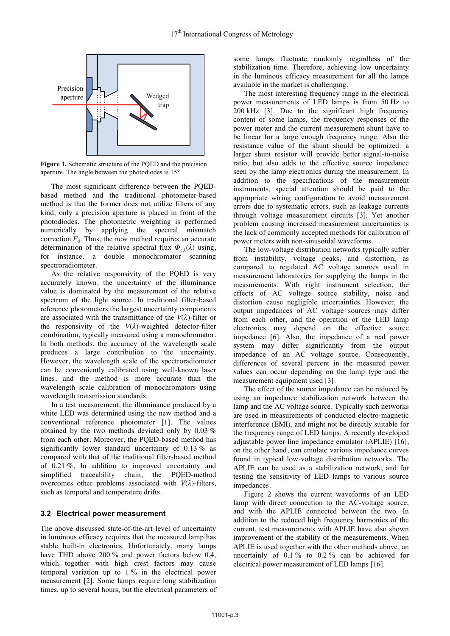

**Figure 1.** Schematic structure of the PQED and the precision aperture. The angle between the photodiodes is 15°.

The most significant difference between the PQEDbased method and the traditional photometer-based method is that the former does not utilize filters of any kind; only a precision aperture is placed in front of the photodiodes. The photometric weighting is performed numerically by applying the spectral mismatch correction  $F_d$ . Thus, the new method requires an accurate determination of the relative spectral flux  $\Phi_{\alpha\lambda}(\lambda)$  using, for instance, a double monochromator scanning spectroradiometer.

As the relative responsivity of the PQED is very accurately known, the uncertainty of the illuminance value is dominated by the measurement of the relative spectrum of the light source. In traditional filter-based reference photometers the largest uncertainty components are associated with the transmittance of the  $V(\lambda)$ -filter or the responsivity of the  $V(\lambda)$ -weighted detector-filter combination, typically measured using a monochromator. In both methods, the accuracy of the wavelength scale produces a large contribution to the uncertainty. However, the wavelength scale of the spectroradiometer can be conveniently calibrated using well-known laser lines, and the method is more accurate than the wavelength scale calibration of monochromators using wavelength transmission standards.

In a test measurement, the illuminance produced by a white LED was determined using the new method and a conventional reference photometer [1]. The values obtained by the two methods deviated only by 0.03 % from each other. Moreover, the PQED-based method has significantly lower standard uncertainty of 0.13 % as compared with that of the traditional filter-based method of 0.21 %. In addition to improved uncertainty and simplified traceability chain, the PQED-method overcomes other problems associated with *V*(*λ*)-filters, such as temporal and temperature drifts.

### **3.2 Electrical power measurement**

The above discussed state-of-the-art level of uncertainty in luminous efficacy requires that the measured lamp has stable built-in electronics. Unfortunately, many lamps have THD above 200 % and power factors below 0.4, which together with high crest factors may cause temporal variation up to 1 % in the electrical power measurement [2]. Some lamps require long stabilization times, up to several hours, but the electrical parameters of some lamps fluctuate randomly regardless of the stabilization time. Therefore, achieving low uncertainty in the luminous efficacy measurement for all the lamps available in the market is challenging.

The most interesting frequency range in the electrical power measurements of LED lamps is from 50 Hz to 200 kHz [3]. Due to the significant high frequency content of some lamps, the frequency responses of the power meter and the current measurement shunt have to be linear for a large enough frequency range. Also the resistance value of the shunt should be optimized: a larger shunt resistor will provide better signal-to-noise ratio, but also adds to the effective source impedance seen by the lamp electronics during the measurement. In addition to the specifications of the measurement instruments, special attention should be paid to the appropriate wiring configuration to avoid measurement errors due to systematic errors, such as leakage currents through voltage measurement circuits [3]. Yet another problem causing increased measurement uncertainties is the lack of commonly accepted methods for calibration of power meters with non-sinusoidal waveforms.

The low-voltage distribution networks typically suffer from instability, voltage peaks, and distortion, as compared to regulated AC voltage sources used in measurement laboratories for supplying the lamps in the measurements. With right instrument selection, the effects of AC voltage source stability, noise and distortion cause negligible uncertainties. However, the output impedances of AC voltage sources may differ from each other, and the operation of the LED lamp electronics may depend on the effective source impedance [6]. Also, the impedance of a real power system may differ significantly from the output impedance of an AC voltage source. Consequently, differences of several percent in the measured power values can occur depending on the lamp type and the measurement equipment used [3].

The effect of the source impedance can be reduced by using an impedance stabilization network between the lamp and the AC voltage source. Typically such networks are used in measurements of conducted electro-magnetic interference (EMI), and might not be directly suitable for the frequency range of LED lamps. A recently developed adjustable power line impedance emulator (APLIE) [16], on the other hand, can emulate various impedance curves found in typical low-voltage distribution networks. The APLIE can be used as a stabilization network, and for testing the sensitivity of LED lamps to various source impedances.

Figure 2 shows the current waveforms of an LED lamp with direct connection to the AC-voltage source, and with the APLIE connected between the two. In addition to the reduced high frequency harmonics of the current, test measurements with APLIE have also shown improvement of the stability of the measurements. When APLIE is used together with the other methods above, an uncertainly of  $0.1\%$  to  $0.2\%$  can be achieved for electrical power measurement of LED lamps [16].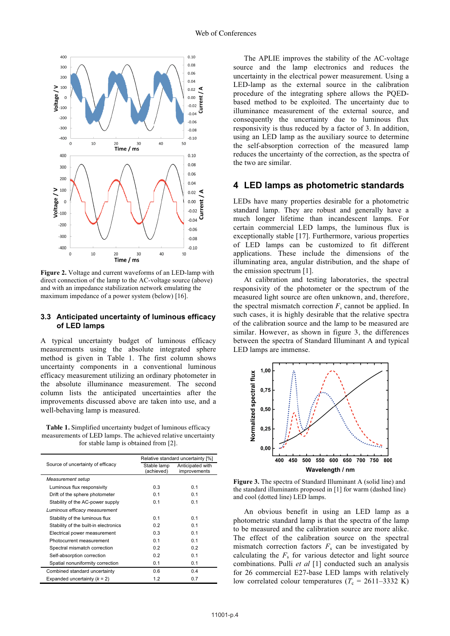

**Figure 2.** Voltage and current waveforms of an LED-lamp with direct connection of the lamp to the AC-voltage source (above) and with an impedance stabilization network emulating the maximum impedance of a power system (below) [16].

#### **3.3 Anticipated uncertainty of luminous efficacy of LED lamps**

A typical uncertainty budget of luminous efficacy measurements using the absolute integrated sphere method is given in Table 1. The first column shows uncertainty components in a conventional luminous efficacy measurement utilizing an ordinary photometer in the absolute illuminance measurement. The second column lists the anticipated uncertainties after the improvements discussed above are taken into use, and a well-behaving lamp is measured.

**Table 1.** Simplified uncertainty budget of luminous efficacy measurements of LED lamps. The achieved relative uncertainty for stable lamp is obtained from [2].

| Source of uncertainty of efficacy     | Relative standard uncertainty [%] |                                  |
|---------------------------------------|-----------------------------------|----------------------------------|
|                                       | Stable lamp<br>(achieved)         | Anticipated with<br>improvements |
|                                       |                                   |                                  |
| Measurement setup                     |                                   |                                  |
| Luminous flux responsivity            | 0.3                               | 0.1                              |
| Drift of the sphere photometer        | 0.1                               | 0.1                              |
| Stability of the AC-power supply      | 0.1                               | 0.1                              |
| Luminous efficacy measurement         |                                   |                                  |
| Stability of the luminous flux        | 0.1                               | 0.1                              |
| Stability of the built-in electronics | 0.2                               | 0.1                              |
| Electrical power measurement          | 0.3                               | 0.1                              |
| Photocurrent measurement              | 0.1                               | 0.1                              |
| Spectral mismatch correction          | 0.2                               | 0.2                              |
| Self-absorption correction            | 0.2                               | 0.1                              |
| Spatial nonuniformity correction      | 0.1                               | 0.1                              |
| Combined standard uncertainty         | 0.6                               | 0.4                              |
| Expanded uncertainty $(k = 2)$        | 1.2                               | 0.7                              |

The APLIE improves the stability of the AC-voltage source and the lamp electronics and reduces the uncertainty in the electrical power measurement. Using a LED-lamp as the external source in the calibration procedure of the integrating sphere allows the PQEDbased method to be exploited. The uncertainty due to illuminance measurement of the external source, and consequently the uncertainty due to luminous flux responsivity is thus reduced by a factor of 3. In addition, using an LED lamp as the auxiliary source to determine the self-absorption correction of the measured lamp reduces the uncertainty of the correction, as the spectra of the two are similar.

### **4 LED lamps as photometric standards**

LEDs have many properties desirable for a photometric standard lamp. They are robust and generally have a much longer lifetime than incandescent lamps. For certain commercial LED lamps, the luminous flux is exceptionally stable [17]. Furthermore, various properties of LED lamps can be customized to fit different applications. These include the dimensions of the illuminating area, angular distribution, and the shape of the emission spectrum [1].

At calibration and testing laboratories, the spectral responsivity of the photometer or the spectrum of the measured light source are often unknown, and, therefore, the spectral mismatch correction  $F_s$  cannot be applied. In such cases, it is highly desirable that the relative spectra of the calibration source and the lamp to be measured are similar. However, as shown in figure 3, the differences between the spectra of Standard Illuminant A and typical LED lamps are immense.



**Figure 3.** The spectra of Standard Illuminant A (solid line) and the standard illuminants proposed in [1] for warm (dashed line) and cool (dotted line) LED lamps.

An obvious benefit in using an LED lamp as a photometric standard lamp is that the spectra of the lamp to be measured and the calibration source are more alike. The effect of the calibration source on the spectral mismatch correction factors  $F_s$  can be investigated by calculating the  $F<sub>s</sub>$  for various detector and light source combinations. Pulli *et al* [1] conducted such an analysis for 26 commercial E27-base LED lamps with relatively low correlated colour temperatures ( $T_c = 2611-3332$  K)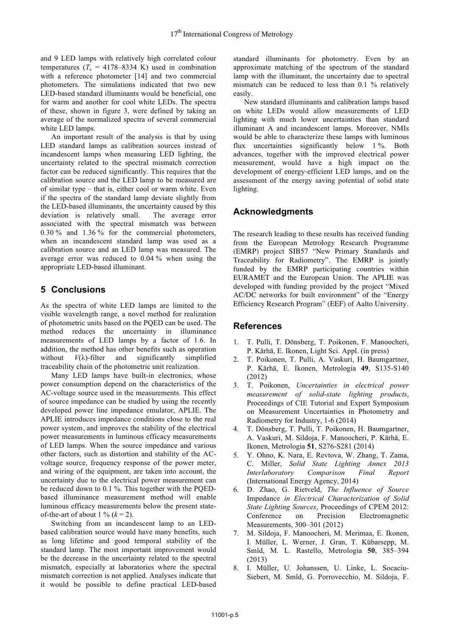and 9 LED lamps with relatively high correlated colour temperatures ( $T_c = 4178-8334$  K) used in combination with a reference photometer [14] and two commercial photometers. The simulations indicated that two new LED-based standard illuminants would be beneficial, one for warm and another for cool white LEDs. The spectra of these, shown in figure 3, were defined by taking an average of the normalized spectra of several commercial white LED lamps.

An important result of the analysis is that by using LED standard lamps as calibration sources instead of incandescent lamps when measuring LED lighting, the uncertainty related to the spectral mismatch correction factor can be reduced significantly. This requires that the calibration source and the LED lamp to be measured are of similar type – that is, either cool or warm white. Even if the spectra of the standard lamp deviate slightly from the LED-based illuminants, the uncertainty caused by this deviation is relatively small. The average error associated with the spectral mismatch was between 0.30 % and 1.36 % for the commercial photometers, when an incandescent standard lamp was used as a calibration source and an LED lamp was measured. The average error was reduced to 0.04 % when using the appropriate LED-based illuminant.

# **5 Conclusions**

As the spectra of white LED lamps are limited to the visible wavelength range, a novel method for realization of photometric units based on the PQED can be used. The method reduces the uncertainty in illuminance measurements of LED lamps by a factor of 1.6. In addition, the method has other benefits such as operation without  $V(\lambda)$ -filter and significantly simplified traceability chain of the photometric unit realization.

Many LED lamps have built-in electronics, whose power consumption depend on the characteristics of the AC-voltage source used in the measurements. This effect of source impedance can be studied by using the recently developed power line impedance emulator, APLIE. The APLIE introduces impedance conditions close to the real power system, and improves the stability of the electrical power measurements in luminous efficacy measurements of LED lamps. When the source impedance and various other factors, such as distortion and stability of the ACvoltage source, frequency response of the power meter, and wiring of the equipment, are taken into account, the uncertainty due to the electrical power measurement can be reduced down to 0.1 %. This together with the PQEDbased illuminance measurement method will enable luminous efficacy measurements below the present stateof-the-art of about  $1 \% (k = 2)$ .

Switching from an incandescent lamp to an LEDbased calibration source would have many benefits, such as long lifetime and good temporal stability of the standard lamp. The most important improvement would be the decrease in the uncertainty related to the spectral mismatch, especially at laboratories where the spectral mismatch correction is not applied. Analyses indicate that it would be possible to define practical LED-based

standard illuminants for photometry. Even by an approximate matching of the spectrum of the standard lamp with the illuminant, the uncertainty due to spectral mismatch can be reduced to less than 0.1 % relatively easily.

New standard illuminants and calibration lamps based on white LEDs would allow measurements of LED lighting with much lower uncertainties than standard illuminant A and incandescent lamps. Moreover, NMIs would be able to characterize these lamps with luminous flux uncertainties significantly below 1 %. Both advances, together with the improved electrical power measurement, would have a high impact on the development of energy-efficient LED lamps, and on the assessment of the energy saving potential of solid state lighting.

# **Acknowledgments**

The research leading to these results has received funding from the European Metrology Research Programme (EMRP) project SIB57 "New Primary Standards and Traceability for Radiometry". The EMRP is jointly funded by the EMRP participating countries within EURAMET and the European Union. The APLIE was developed with funding provided by the project "Mixed AC/DC networks for built environment" of the "Energy Efficiency Research Program" (EEF) of Aalto University.

## **References**

- 1. T. Pulli, T. Dönsberg, T. Poikonen, F. Manoocheri, P. Kärhä, E. Ikonen, Light Sci. Appl. (in press)
- 2. T. Poikonen, T. Pulli, A. Vaskuri, H. Baumgartner, P. Kärhä, E. Ikonen, Metrologia **49**, S135-S140 (2012)
- 3. T. Poikonen, *Uncertainties in electrical power measurement of solid-state lighting products*, Proceedings of CIE Tutorial and Expert Symposium on Measurement Uncertainties in Photometry and Radiometry for Industry, 1-6 (2014)
- 4. T. Dönsberg, T. Pulli, T. Poikonen, H. Baumgartner, A. Vaskuri, M. Sildoja, F. Manoocheri, P. Kärhä, E. Ikonen, Metrologia **51**, S276-S281 (2014)
- 5. Y. Ohno, K. Nara, E. Revtova, W. Zhang, T. Zama, C. Miller, *Solid State Lighting Annex 2013 Interlaboratory Comparison Final Report* (International Energy Agency, 2014)
- 6. D. Zhao, G. Rietveld, *The Influence of Source*  Impedance *in Electrical Characterization of Solid State Lighting Sources*, Proceedings of CPEM 2012: Conference on Precision Electromagnetic Measurements, 300–301 (2012)
- 7. M. Sildoja, F. Manoocheri, M. Merimaa, E. Ikonen, I. Müller, L. Werner, J. Gran, T. Kübarsepp, M. Smîd, M. L. Rastello, Metrologia **50**, 385–394 (2013)
- 8. I. Müller, U. Johanssen, U. Linke, L. Socaciu-Siebert, M. Smîd, G. Porrovecchio, M. Sildoja, F.